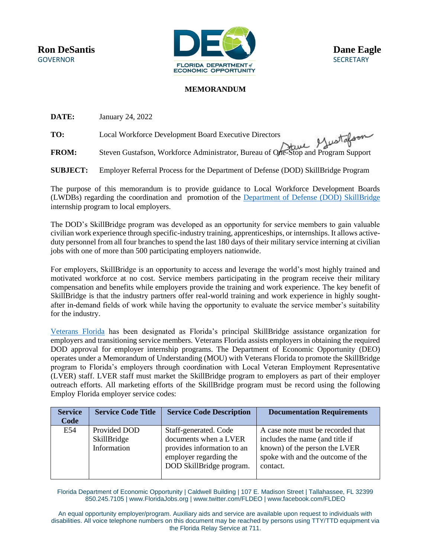

## **MEMORANDUM**

**DATE:** January 24, 2022

**TO:** Local Workforce Development Board Executive Directors **FROM:** Steven Gustafson, Workforce Administrator, Bureau of One-Stop and Program Support

**SUBJECT:** Employer Referral Process for the Department of Defense (DOD) SkillBridge Program

The purpose of this memorandum is to provide guidance to Local Workforce Development Boards (LWDBs) regarding the coordination and promotion of the [Department of Defense \(DOD\) SkillBridge](https://skillbridge.osd.mil/) internship program to local employers.

The DOD's SkillBridge program was developed as an opportunity for service members to gain valuable civilian work experience through specific-industry training, apprenticeships, or internships. It allows activeduty personnel from all four branches to spend the last 180 days of their military service interning at civilian jobs with one of more than 500 participating employers nationwide.

For employers, SkillBridge is an opportunity to access and leverage the world's most highly trained and motivated workforce at no cost. Service members participating in the program receive their military compensation and benefits while employers provide the training and work experience. The key benefit of SkillBridge is that the industry partners offer real-world training and work experience in highly soughtafter in-demand fields of work while having the opportunity to evaluate the service member's suitability for the industry.

[Veterans Florida](https://www.veteransflorida.org/) has been designated as Florida's principal SkillBridge assistance organization for employers and transitioning service members. Veterans Florida assists employers in obtaining the required DOD approval for employer internship programs. The Department of Economic Opportunity (DEO) operates under a Memorandum of Understanding (MOU) with Veterans Florida to promote the SkillBridge program to Florida's employers through coordination with Local Veteran Employment Representative (LVER) staff. LVER staff must market the SkillBridge program to employers as part of their employer outreach efforts. All marketing efforts of the SkillBridge program must be record using the following Employ Florida employer service codes:

| <b>Service</b><br>Code | <b>Service Code Title</b>                  | <b>Service Code Description</b>                                                                                                    | <b>Documentation Requirements</b>                                                                                                                      |
|------------------------|--------------------------------------------|------------------------------------------------------------------------------------------------------------------------------------|--------------------------------------------------------------------------------------------------------------------------------------------------------|
| E54                    | Provided DOD<br>SkillBridge<br>Information | Staff-generated. Code<br>documents when a LVER<br>provides information to an<br>employer regarding the<br>DOD SkillBridge program. | A case note must be recorded that<br>includes the name (and title if<br>known) of the person the LVER<br>spoke with and the outcome of the<br>contact. |

Florida Department of Economic Opportunity | Caldwell Building | 107 E. Madison Street | Tallahassee, FL 32399 850.245.7105 | www.FloridaJobs.org | www.twitter.com/FLDEO | www.facebook.com/FLDEO

An equal opportunity employer/program. Auxiliary aids and service are available upon request to individuals with disabilities. All voice telephone numbers on this document may be reached by persons using TTY/TTD equipment via the Florida Relay Service at 711.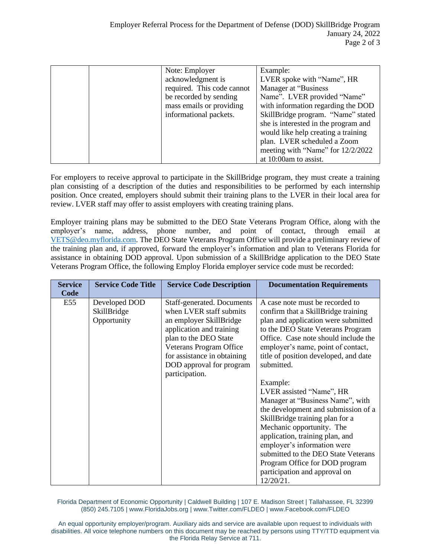|  | Note: Employer             | Example:                             |
|--|----------------------------|--------------------------------------|
|  | acknowledgment is          | LVER spoke with "Name", HR           |
|  | required. This code cannot | Manager at "Business                 |
|  | be recorded by sending     | Name". LVER provided "Name"          |
|  | mass emails or providing   | with information regarding the DOD   |
|  | informational packets.     | SkillBridge program. "Name" stated   |
|  |                            | she is interested in the program and |
|  |                            | would like help creating a training  |
|  |                            | plan. LVER scheduled a Zoom          |
|  |                            | meeting with "Name" for 12/2/2022    |
|  |                            | at 10:00am to assist.                |

For employers to receive approval to participate in the SkillBridge program, they must create a training plan consisting of a description of the duties and responsibilities to be performed by each internship position. Once created, employers should submit their training plans to the LVER in their local area for review. LVER staff may offer to assist employers with creating training plans.

Employer training plans may be submitted to the DEO State Veterans Program Office, along with the employer's name, address, phone number, and point of contact, through email at [VETS@deo.myflorida.com.](mailto:VETS@deo.myflorida.com) The DEO State Veterans Program Office will provide a preliminary review of the training plan and, if approved, forward the employer's information and plan to Veterans Florida for assistance in obtaining DOD approval. Upon submission of a SkillBridge application to the DEO State Veterans Program Office, the following Employ Florida employer service code must be recorded:

| <b>Service</b><br>Code | <b>Service Code Title</b>                   | <b>Service Code Description</b>                                                                                                                                                                                                               | <b>Documentation Requirements</b>                                                                                                                                                                                                                                                                                                                                                                                                                                                                                                                                                                                                                                   |
|------------------------|---------------------------------------------|-----------------------------------------------------------------------------------------------------------------------------------------------------------------------------------------------------------------------------------------------|---------------------------------------------------------------------------------------------------------------------------------------------------------------------------------------------------------------------------------------------------------------------------------------------------------------------------------------------------------------------------------------------------------------------------------------------------------------------------------------------------------------------------------------------------------------------------------------------------------------------------------------------------------------------|
| E55                    | Developed DOD<br>SkillBridge<br>Opportunity | Staff-generated. Documents<br>when LVER staff submits<br>an employer SkillBridge<br>application and training<br>plan to the DEO State<br>Veterans Program Office<br>for assistance in obtaining<br>DOD approval for program<br>participation. | A case note must be recorded to<br>confirm that a SkillBridge training<br>plan and application were submitted<br>to the DEO State Veterans Program<br>Office. Case note should include the<br>employer's name, point of contact,<br>title of position developed, and date<br>submitted.<br>Example:<br>LVER assisted "Name", HR<br>Manager at "Business Name", with<br>the development and submission of a<br>SkillBridge training plan for a<br>Mechanic opportunity. The<br>application, training plan, and<br>employer's information were<br>submitted to the DEO State Veterans<br>Program Office for DOD program<br>participation and approval on<br>12/20/21. |

Florida Department of Economic Opportunity | Caldwell Building | 107 E. Madison Street | Tallahassee, FL 32399 (850) 245.7105 [| www.FloridaJobs.org](http://www.floridajobs.org/) | [www.Twitter.com/FLDEO](http://www.twitter.com/FLDEO) | [www.Facebook.com/FLDEO](http://www.facebook.com/FLDEO)

An equal opportunity employer/program. Auxiliary aids and service are available upon request to individuals with disabilities. All voice telephone numbers on this document may be reached by persons using TTY/TTD equipment via the Florida Relay Service at 711.